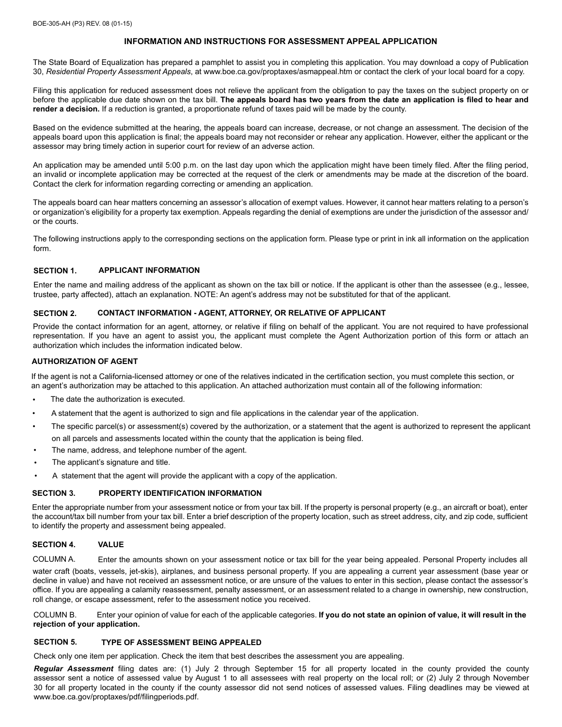# **INFORMATION AND INSTRUCTIONS FOR ASSESSMENT APPEAL APPLICATION**

The State Board of Equalization has prepared a pamphlet to assist you in completing this application. You may download a copy of Publication 30, *Residential Property Assessment Appeals*, at www.boe.ca.gov/proptaxes/asmappeal.htm or contact the clerk of your local board for a copy.

Filing this application for reduced assessment does not relieve the applicant from the obligation to pay the taxes on the subject property on or before the applicable due date shown on the tax bill. **The appeals board has two years from the date an application is filed to hear and render a decision.** If a reduction is granted, a proportionate refund of taxes paid will be made by the county.

Based on the evidence submitted at the hearing, the appeals board can increase, decrease, or not change an assessment. The decision of the appeals board upon this application is final; the appeals board may not reconsider or rehear any application. However, either the applicant or the assessor may bring timely action in superior court for review of an adverse action.

An application may be amended until 5:00 p.m. on the last day upon which the application might have been timely filed. After the filing period, an invalid or incomplete application may be corrected at the request of the clerk or amendments may be made at the discretion of the board. Contact the clerk for information regarding correcting or amending an application.

The appeals board can hear matters concerning an assessor's allocation of exempt values. However, it cannot hear matters relating to a person's or organization's eligibility for a property tax exemption. Appeals regarding the denial of exemptions are under the jurisdiction of the assessor and/ or the courts.

The following instructions apply to the corresponding sections on the application form. Please type or print in ink all information on the application form.

### **SECTION 1. APPLICANT INFORMATION**

Enter the name and mailing address of the applicant as shown on the tax bill or notice. If the applicant is other than the assessee (e.g., lessee, trustee, party affected), attach an explanation. NOTE: An agent's address may not be substituted for that of the applicant.

# **SECTION 2. CONTACT INFORMATION - AGENT, ATTORNEY, OR RELATIVE OF APPLICANT**

Provide the contact information for an agent, attorney, or relative if filing on behalf of the applicant. You are not required to have professional representation. If you have an agent to assist you, the applicant must complete the Agent Authorization portion of this form or attach an authorization which includes the information indicated below.

### **AUTHORIZATION OF AGENT**

If the agent is not a California-licensed attorney or one of the relatives indicated in the certification section, you must complete this section, or an agent's authorization may be attached to this application. An attached authorization must contain all of the following information:

- The date the authorization is executed.
- A statement that the agent is authorized to sign and file applications in the calendar year of the application.
- The specific parcel(s) or assessment(s) covered by the authorization, or a statement that the agent is authorized to represent the applicant on all parcels and assessments located within the county that the application is being filed.
- The name, address, and telephone number of the agent.
- The applicant's signature and title.
- A statement that the agent will provide the applicant with a copy of the application.

#### **SECTION 3. PROPERTY IDENTIFICATION INFORMATION**

Enter the appropriate number from your assessment notice or from your tax bill. If the property is personal property (e.g., an aircraft or boat), enter the account/tax bill number from your tax bill. Enter a brief description of the property location, such as street address, city, and zip code, sufficient to identify the property and assessment being appealed.

#### **SECTION 4. VALUE**

COLUMN A. Enter the amounts shown on your assessment notice or tax bill for the year being appealed. Personal Property includes all

water craft (boats, vessels, jet-skis), airplanes, and business personal property. If you are appealing a current year assessment (base year or decline in value) and have not received an assessment notice, or are unsure of the values to enter in this section, please contact the assessor's office. If you are appealing a calamity reassessment, penalty assessment, or an assessment related to a change in ownership, new construction, roll change, or escape assessment, refer to the assessment notice you received.

COLUMN B. Enter your opinion of value for each of the applicable categories. **If you do not state an opinion of value, it will result in the rejection of your application.**

### **SECTION 5. TYPE OF ASSESSMENT BEING APPEALED**

Check only one item per application. Check the item that best describes the assessment you are appealing.

*Regular Assessment* filing dates are: (1) July 2 through September 15 for all property located in the county provided the county assessor sent a notice of assessed value by August 1 to all assessees with real property on the local roll; or (2) July 2 through November 30 for all property located in the county if the county assessor did not send notices of assessed values. Filing deadlines may be viewed at www.boe.ca.gov/proptaxes/pdf/filingperiods.pdf.